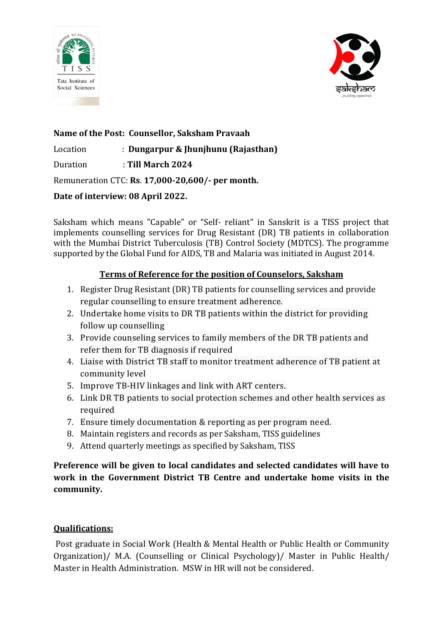



**Name of the Post: Counsellor, Saksham Pravaah** Location : **Dungarpur & Jhunjhunu (Rajasthan)** Duration : **Till March 2024** Remuneration CTC: **Rs**. **17,000-20,600/- per month. Date of interview: 08 April 2022.** 

Saksham which means "Capable" or "Self- reliant" in Sanskrit is a TISS project that implements counselling services for Drug Resistant (DR) TB patients in collaboration with the Mumbai District Tuberculosis (TB) Control Society (MDTCS). The programme supported by the Global Fund for AIDS, TB and Malaria was initiated in August 2014.

# **Terms of Reference for the position of Counselors, Saksham**

- 1. Register Drug Resistant (DR) TB patients for counselling services and provide regular counselling to ensure treatment adherence.
- 2. Undertake home visits to DR TB patients within the district for providing follow up counselling
- 3. Provide counseling services to family members of the DR TB patients and refer them for TB diagnosis if required
- 4. Liaise with District TB staff to monitor treatment adherence of TB patient at community level
- 5. Improve TB-HIV linkages and link with ART centers.
- 6. Link DR TB patients to social protection schemes and other health services as required
- 7. Ensure timely documentation & reporting as per program need.
- 8. Maintain registers and records as per Saksham, TISS guidelines
- 9. Attend quarterly meetings as specified by Saksham, TISS

**Preference will be given to local candidates and selected candidates will have to work in the Government District TB Centre and undertake home visits in the community.**

# **Qualifications:**

Post graduate in Social Work (Health & Mental Health or Public Health or Community Organization)/ M.A. (Counselling or Clinical Psychology)/ Master in Public Health/ Master in Health Administration. MSW in HR will not be considered.